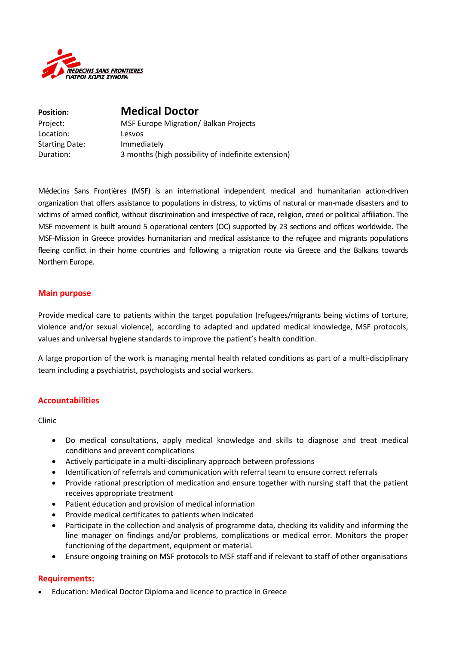

| <b>Position:</b>      | <b>Medical Doctor</b>                               |
|-----------------------|-----------------------------------------------------|
| Project:              | <b>MSF Europe Migration/ Balkan Projects</b>        |
| Location:             | Lesvos                                              |
| <b>Starting Date:</b> | Immediately                                         |
| Duration:             | 3 months (high possibility of indefinite extension) |

Médecins Sans Frontières (MSF) is an international independent medical and humanitarian action-driven organization that offers assistance to populations in distress, to victims of natural or man-made disasters and to victims of armed conflict, without discrimination and irrespective of race, religion, creed or political affiliation. The MSF movement is built around 5 operational centers (OC) supported by 23 sections and offices worldwide. The MSF-Mission in Greece provides humanitarian and medical assistance to the refugee and migrants populations fleeing conflict in their home countries and following a migration route via Greece and the Balkans towards Northern Europe.

#### **Main purpose**

Provide medical care to patients within the target population (refugees/migrants being victims of torture, violence and/or sexual violence), according to adapted and updated medical knowledge, MSF protocols, values and universal hygiene standards to improve the patient's health condition.

A large proportion of the work is managing mental health related conditions as part of a multi-disciplinary team including a psychiatrist, psychologists and social workers.

## **Accountabilities**

Clinic

- Do medical consultations, apply medical knowledge and skills to diagnose and treat medical conditions and prevent complications
- Actively participate in a multi-disciplinary approach between professions
- Identification of referrals and communication with referral team to ensure correct referrals
- Provide rational prescription of medication and ensure together with nursing staff that the patient receives appropriate treatment
- Patient education and provision of medical information
- Provide medical certificates to patients when indicated
- Participate in the collection and analysis of programme data, checking its validity and informing the line manager on findings and/or problems, complications or medical error. Monitors the proper functioning of the department, equipment or material.
- Ensure ongoing training on MSF protocols to MSF staff and if relevant to staff of other organisations

#### **Requirements:**

Education: Medical Doctor Diploma and licence to practice in Greece